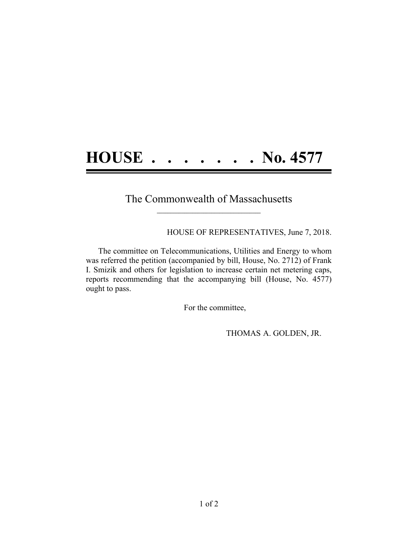## **HOUSE . . . . . . . No. 4577**

## The Commonwealth of Massachusetts **\_\_\_\_\_\_\_\_\_\_\_\_\_\_\_\_\_\_\_\_\_\_\_\_\_\_\_\_\_\_\_\_\_\_\_\_\_\_**

HOUSE OF REPRESENTATIVES, June 7, 2018.

The committee on Telecommunications, Utilities and Energy to whom was referred the petition (accompanied by bill, House, No. 2712) of Frank I. Smizik and others for legislation to increase certain net metering caps, reports recommending that the accompanying bill (House, No. 4577) ought to pass.

For the committee,

THOMAS A. GOLDEN, JR.